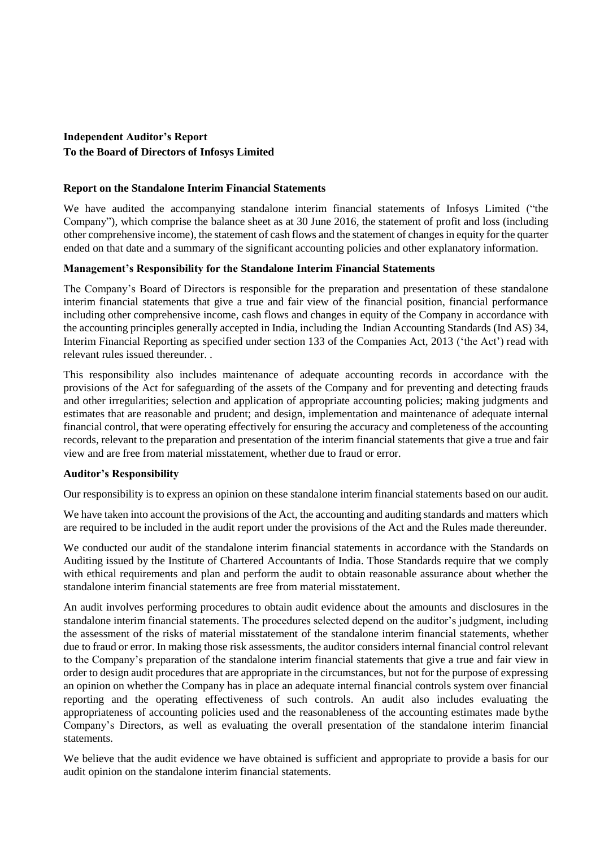# **Independent Auditor's Report To the Board of Directors of Infosys Limited**

### **Report on the Standalone Interim Financial Statements**

We have audited the accompanying standalone interim financial statements of Infosys Limited ("the Company"), which comprise the balance sheet as at 30 June 2016, the statement of profit and loss (including other comprehensive income), the statement of cash flows and the statement of changes in equity for the quarter ended on that date and a summary of the significant accounting policies and other explanatory information.

## **Management's Responsibility for the Standalone Interim Financial Statements**

The Company's Board of Directors is responsible for the preparation and presentation of these standalone interim financial statements that give a true and fair view of the financial position, financial performance including other comprehensive income, cash flows and changes in equity of the Company in accordance with the accounting principles generally accepted in India, including the Indian Accounting Standards (Ind AS) 34, Interim Financial Reporting as specified under section 133 of the Companies Act, 2013 ('the Act') read with relevant rules issued thereunder. .

This responsibility also includes maintenance of adequate accounting records in accordance with the provisions of the Act for safeguarding of the assets of the Company and for preventing and detecting frauds and other irregularities; selection and application of appropriate accounting policies; making judgments and estimates that are reasonable and prudent; and design, implementation and maintenance of adequate internal financial control, that were operating effectively for ensuring the accuracy and completeness of the accounting records, relevant to the preparation and presentation of the interim financial statements that give a true and fair view and are free from material misstatement, whether due to fraud or error.

#### **Auditor's Responsibility**

Our responsibility is to express an opinion on these standalone interim financial statements based on our audit.

We have taken into account the provisions of the Act, the accounting and auditing standards and matters which are required to be included in the audit report under the provisions of the Act and the Rules made thereunder.

We conducted our audit of the standalone interim financial statements in accordance with the Standards on Auditing issued by the Institute of Chartered Accountants of India. Those Standards require that we comply with ethical requirements and plan and perform the audit to obtain reasonable assurance about whether the standalone interim financial statements are free from material misstatement.

An audit involves performing procedures to obtain audit evidence about the amounts and disclosures in the standalone interim financial statements. The procedures selected depend on the auditor's judgment, including the assessment of the risks of material misstatement of the standalone interim financial statements, whether due to fraud or error. In making those risk assessments, the auditor considers internal financial control relevant to the Company's preparation of the standalone interim financial statements that give a true and fair view in order to design audit procedures that are appropriate in the circumstances, but not for the purpose of expressing an opinion on whether the Company has in place an adequate internal financial controls system over financial reporting and the operating effectiveness of such controls. An audit also includes evaluating the appropriateness of accounting policies used and the reasonableness of the accounting estimates made bythe Company's Directors, as well as evaluating the overall presentation of the standalone interim financial statements.

We believe that the audit evidence we have obtained is sufficient and appropriate to provide a basis for our audit opinion on the standalone interim financial statements.